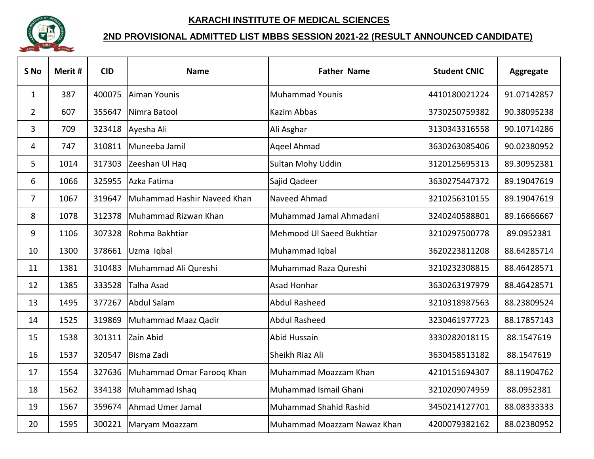

## **KARACHI INSTITUTE OF MEDICAL SCIENCES**

## **2ND PROVISIONAL ADMITTED LIST MBBS SESSION 2021-22 (RESULT ANNOUNCED CANDIDATE)**

| S <sub>No</sub> | Merit # | <b>CID</b> | <b>Name</b>                 | <b>Father Name</b>            | <b>Student CNIC</b> | <b>Aggregate</b> |
|-----------------|---------|------------|-----------------------------|-------------------------------|---------------------|------------------|
| $\mathbf{1}$    | 387     | 400075     | Aiman Younis                | <b>Muhammad Younis</b>        | 4410180021224       | 91.07142857      |
| $\overline{2}$  | 607     | 355647     | Nimra Batool                | Kazim Abbas                   | 3730250759382       | 90.38095238      |
| 3               | 709     | 323418     | Ayesha Ali                  | Ali Asghar                    | 3130343316558       | 90.10714286      |
| 4               | 747     | 310811     | Muneeba Jamil               | <b>Ageel Ahmad</b>            | 3630263085406       | 90.02380952      |
| 5               | 1014    | 317303     | Zeeshan Ul Haq              | <b>Sultan Mohy Uddin</b>      | 3120125695313       | 89.30952381      |
| 6               | 1066    | 325955     | Azka Fatima                 | Sajid Qadeer                  | 3630275447372       | 89.19047619      |
| $\overline{7}$  | 1067    | 319647     | Muhammad Hashir Naveed Khan | Naveed Ahmad                  | 3210256310155       | 89.19047619      |
| 8               | 1078    | 312378     | Muhammad Rizwan Khan        | Muhammad Jamal Ahmadani       | 3240240588801       | 89.16666667      |
| 9               | 1106    | 307328     | Rohma Bakhtiar              | Mehmood UI Saeed Bukhtiar     | 3210297500778       | 89.0952381       |
| 10              | 1300    | 378661     | Uzma Iqbal                  | Muhammad Iqbal                | 3620223811208       | 88.64285714      |
| 11              | 1381    | 310483     | Muhammad Ali Qureshi        | Muhammad Raza Qureshi         | 3210232308815       | 88.46428571      |
| 12              | 1385    | 333528     | <b>Talha Asad</b>           | <b>Asad Honhar</b>            | 3630263197979       | 88.46428571      |
| 13              | 1495    | 377267     | Abdul Salam                 | <b>Abdul Rasheed</b>          | 3210318987563       | 88.23809524      |
| 14              | 1525    | 319869     | Muhammad Maaz Qadir         | <b>Abdul Rasheed</b>          | 3230461977723       | 88.17857143      |
| 15              | 1538    | 301311     | Zain Abid                   | Abid Hussain                  | 3330282018115       | 88.1547619       |
| 16              | 1537    | 320547     | Bisma Zadi                  | Sheikh Riaz Ali               | 3630458513182       | 88.1547619       |
| 17              | 1554    | 327636     | Muhammad Omar Farooq Khan   | Muhammad Moazzam Khan         | 4210151694307       | 88.11904762      |
| 18              | 1562    | 334138     | Muhammad Ishaq              | Muhammad Ismail Ghani         | 3210209074959       | 88.0952381       |
| 19              | 1567    | 359674     | Ahmad Umer Jamal            | <b>Muhammad Shahid Rashid</b> | 3450214127701       | 88.08333333      |
| 20              | 1595    | 300221     | Maryam Moazzam              | Muhammad Moazzam Nawaz Khan   | 4200079382162       | 88.02380952      |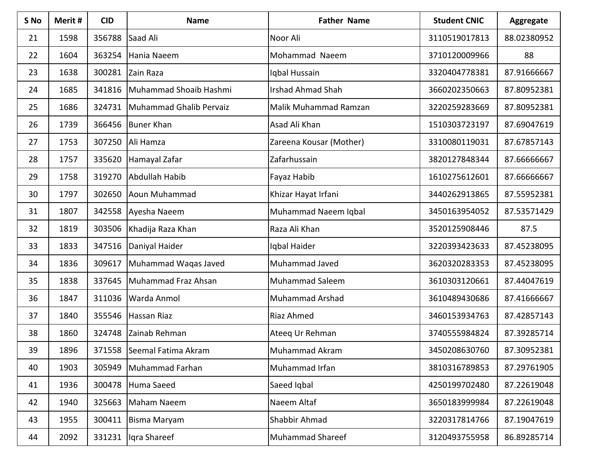| S No | Merit # | <b>CID</b> | <b>Name</b>             | <b>Father Name</b>       | <b>Student CNIC</b> | Aggregate   |
|------|---------|------------|-------------------------|--------------------------|---------------------|-------------|
| 21   | 1598    | 356788     | Saad Ali                | Noor Ali                 | 3110519017813       | 88.02380952 |
| 22   | 1604    | 363254     | Hania Naeem             | Mohammad Naeem           | 3710120009966       | 88          |
| 23   | 1638    | 300281     | Zain Raza               | Iqbal Hussain            | 3320404778381       | 87.91666667 |
| 24   | 1685    | 341816     | Muhammad Shoaib Hashmi  | <b>Irshad Ahmad Shah</b> | 3660202350663       | 87.80952381 |
| 25   | 1686    | 324731     | Muhammad Ghalib Pervaiz | Malik Muhammad Ramzan    | 3220259283669       | 87.80952381 |
| 26   | 1739    | 366456     | <b>Buner Khan</b>       | Asad Ali Khan            | 1510303723197       | 87.69047619 |
| 27   | 1753    | 307250     | Ali Hamza               | Zareena Kousar (Mother)  | 3310080119031       | 87.67857143 |
| 28   | 1757    | 335620     | Hamayal Zafar           | Zafarhussain             | 3820127848344       | 87.66666667 |
| 29   | 1758    | 319270     | Abdullah Habib          | Fayaz Habib              | 1610275612601       | 87.66666667 |
| 30   | 1797    | 302650     | Aoun Muhammad           | Khizar Hayat Irfani      | 3440262913865       | 87.55952381 |
| 31   | 1807    | 342558     | Ayesha Naeem            | Muhammad Naeem Iqbal     | 3450163954052       | 87.53571429 |
| 32   | 1819    | 303506     | Khadija Raza Khan       | Raza Ali Khan            | 3520125908446       | 87.5        |
| 33   | 1833    | 347516     | Daniyal Haider          | Igbal Haider             | 3220393423633       | 87.45238095 |
| 34   | 1836    | 309617     | Muhammad Waqas Javed    | Muhammad Javed           | 3620320283353       | 87.45238095 |
| 35   | 1838    | 337645     | Muhammad Fraz Ahsan     | <b>Muhammad Saleem</b>   | 3610303120661       | 87.44047619 |
| 36   | 1847    | 311036     | Warda Anmol             | <b>Muhammad Arshad</b>   | 3610489430686       | 87.41666667 |
| 37   | 1840    | 355546     | Hassan Riaz             | Riaz Ahmed               | 3460153934763       | 87.42857143 |
| 38   | 1860    | 324748     | Zainab Rehman           | Ateeq Ur Rehman          | 3740555984824       | 87.39285714 |
| 39   | 1896    | 371558     | Seemal Fatima Akram     | Muhammad Akram           | 3450208630760       | 87.30952381 |
| 40   | 1903    | 305949     | Muhammad Farhan         | Muhammad Irfan           | 3810316789853       | 87.29761905 |
| 41   | 1936    | 300478     | Huma Saeed              | Saeed Igbal              | 4250199702480       | 87.22619048 |
| 42   | 1940    | 325663     | Maham Naeem             | Naeem Altaf              | 3650183999984       | 87.22619048 |
| 43   | 1955    | 300411     | Bisma Maryam            | Shabbir Ahmad            | 3220317814766       | 87.19047619 |
| 44   | 2092    | 331231     | Iqra Shareef            | <b>Muhammad Shareef</b>  | 3120493755958       | 86.89285714 |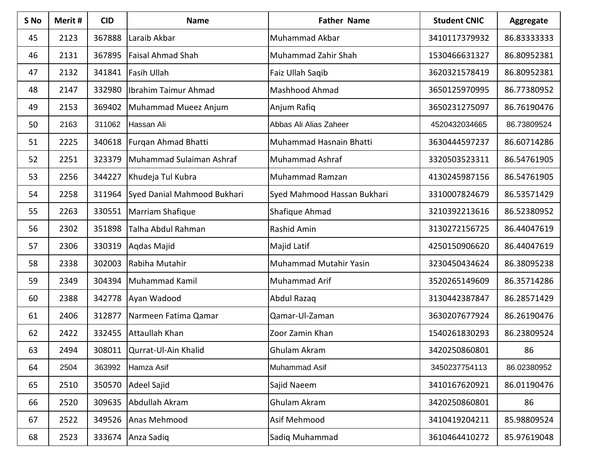| S <sub>No</sub> | Merit# | <b>CID</b> | <b>Name</b>                 | <b>Father Name</b>          | <b>Student CNIC</b> | Aggregate   |
|-----------------|--------|------------|-----------------------------|-----------------------------|---------------------|-------------|
| 45              | 2123   | 367888     | Laraib Akbar                | Muhammad Akbar              | 3410117379932       | 86.83333333 |
| 46              | 2131   | 367895     | <b>Faisal Ahmad Shah</b>    | Muhammad Zahir Shah         | 1530466631327       | 86.80952381 |
| 47              | 2132   | 341841     | <b>Fasih Ullah</b>          | Faiz Ullah Saqib            | 3620321578419       | 86.80952381 |
| 48              | 2147   | 332980     | Ibrahim Taimur Ahmad        | Mashhood Ahmad              | 3650125970995       | 86.77380952 |
| 49              | 2153   | 369402     | Muhammad Mueez Anjum        | Anjum Rafiq                 | 3650231275097       | 86.76190476 |
| 50              | 2163   | 311062     | Hassan Ali                  | Abbas Ali Alias Zaheer      | 4520432034665       | 86.73809524 |
| 51              | 2225   | 340618     | Furgan Ahmad Bhatti         | Muhammad Hasnain Bhatti     | 3630444597237       | 86.60714286 |
| 52              | 2251   | 323379     | Muhammad Sulaiman Ashraf    | <b>Muhammad Ashraf</b>      | 3320503523311       | 86.54761905 |
| 53              | 2256   | 344227     | Khudeja Tul Kubra           | Muhammad Ramzan             | 4130245987156       | 86.54761905 |
| 54              | 2258   | 311964     | Syed Danial Mahmood Bukhari | Syed Mahmood Hassan Bukhari | 3310007824679       | 86.53571429 |
| 55              | 2263   | 330551     | Marriam Shafique            | Shafique Ahmad              | 3210392213616       | 86.52380952 |
| 56              | 2302   | 351898     | Talha Abdul Rahman          | Rashid Amin                 | 3130272156725       | 86.44047619 |
| 57              | 2306   | 330319     | Agdas Majid                 | Majid Latif                 | 4250150906620       | 86.44047619 |
| 58              | 2338   | 302003     | Rabiha Mutahir              | Muhammad Mutahir Yasin      | 3230450434624       | 86.38095238 |
| 59              | 2349   | 304394     | Muhammad Kamil              | Muhammad Arif               | 3520265149609       | 86.35714286 |
| 60              | 2388   | 342778     | Ayan Wadood                 | Abdul Razaq                 | 3130442387847       | 86.28571429 |
| 61              | 2406   | 312877     | Narmeen Fatima Qamar        | Qamar-Ul-Zaman              | 3630207677924       | 86.26190476 |
| 62              | 2422   | 332455     | Attaullah Khan              | Zoor Zamin Khan             | 1540261830293       | 86.23809524 |
| 63              | 2494   | 308011     | Qurrat-Ul-Ain Khalid        | Ghulam Akram                | 3420250860801       | 86          |
| 64              | 2504   | 363992     | Hamza Asif                  | Muhammad Asif               | 3450237754113       | 86.02380952 |
| 65              | 2510   | 350570     | <b>Adeel Sajid</b>          | Sajid Naeem                 | 3410167620921       | 86.01190476 |
| 66              | 2520   | 309635     | Abdullah Akram              | Ghulam Akram                | 3420250860801       | 86          |
| 67              | 2522   | 349526     | Anas Mehmood                | Asif Mehmood                | 3410419204211       | 85.98809524 |
| 68              | 2523   | 333674     | Anza Sadiq                  | Sadiq Muhammad              | 3610464410272       | 85.97619048 |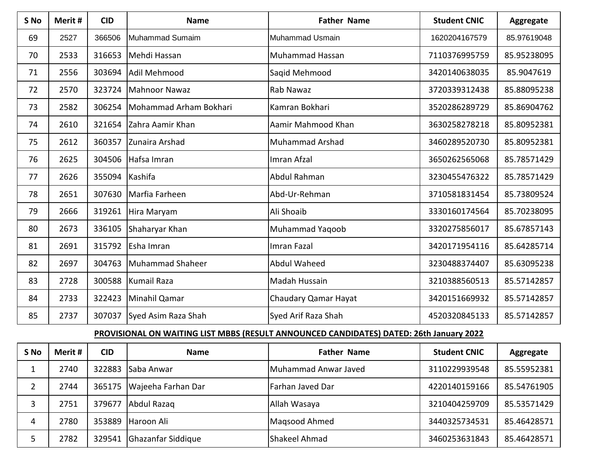| S <sub>No</sub> | Merit # | <b>CID</b> | <b>Name</b>            | <b>Father Name</b>     | <b>Student CNIC</b> | <b>Aggregate</b> |
|-----------------|---------|------------|------------------------|------------------------|---------------------|------------------|
| 69              | 2527    | 366506     | Muhammad Sumaim        | Muhammad Usmain        | 1620204167579       | 85.97619048      |
| 70              | 2533    | 316653     | Mehdi Hassan           | Muhammad Hassan        | 7110376995759       | 85.95238095      |
| 71              | 2556    | 303694     | Adil Mehmood           | Saqid Mehmood          | 3420140638035       | 85.9047619       |
| 72              | 2570    | 323724     | <b>Mahnoor Nawaz</b>   | Rab Nawaz              | 3720339312438       | 85.88095238      |
| 73              | 2582    | 306254     | Mohammad Arham Bokhari | Kamran Bokhari         | 3520286289729       | 85.86904762      |
| 74              | 2610    | 321654     | Zahra Aamir Khan       | Aamir Mahmood Khan     | 3630258278218       | 85.80952381      |
| 75              | 2612    | 360357     | Zunaira Arshad         | <b>Muhammad Arshad</b> | 3460289520730       | 85.80952381      |
| 76              | 2625    | 304506     | Hafsa Imran            | Imran Afzal            | 3650262565068       | 85.78571429      |
| 77              | 2626    | 355094     | Kashifa                | Abdul Rahman           | 3230455476322       | 85.78571429      |
| 78              | 2651    | 307630     | Marfia Farheen         | Abd-Ur-Rehman          | 3710581831454       | 85.73809524      |
| 79              | 2666    | 319261     | Hira Maryam            | Ali Shoaib             | 3330160174564       | 85.70238095      |
| 80              | 2673    | 336105     | Shaharyar Khan         | <b>Muhammad Yagoob</b> | 3320275856017       | 85.67857143      |
| 81              | 2691    | 315792     | Esha Imran             | Imran Fazal            | 3420171954116       | 85.64285714      |
| 82              | 2697    | 304763     | Muhammad Shaheer       | <b>Abdul Waheed</b>    | 3230488374407       | 85.63095238      |
| 83              | 2728    | 300588     | <b>Kumail Raza</b>     | Madah Hussain          | 3210388560513       | 85.57142857      |
| 84              | 2733    | 322423     | Minahil Qamar          | Chaudary Qamar Hayat   | 3420151669932       | 85.57142857      |
| 85              | 2737    | 307037     | Syed Asim Raza Shah    | Syed Arif Raza Shah    | 4520320845133       | 85.57142857      |

## **PROVISIONAL ON WAITING LIST MBBS (RESULT ANNOUNCED CANDIDATES) DATED: 26th January 2022**

| S No | Merit # | <b>CID</b> | <b>Name</b>        | <b>Father Name</b>      | <b>Student CNIC</b> | <b>Aggregate</b> |
|------|---------|------------|--------------------|-------------------------|---------------------|------------------|
|      | 2740    | 322883     | Saba Anwar         | Muhammad Anwar Javed    | 3110229939548       | 85.55952381      |
| 2    | 2744    | 365175     | Wajeeha Farhan Dar | <b>Farhan Javed Dar</b> | 4220140159166       | 85.54761905      |
| 3    | 2751    | 379677     | Abdul Razaq        | Allah Wasaya            | 3210404259709       | 85.53571429      |
| 4    | 2780    | 353889     | Haroon Ali         | Magsood Ahmed           | 3440325734531       | 85.46428571      |
|      | 2782    | 329541     | Ghazanfar Siddique | Shakeel Ahmad           | 3460253631843       | 85.46428571      |